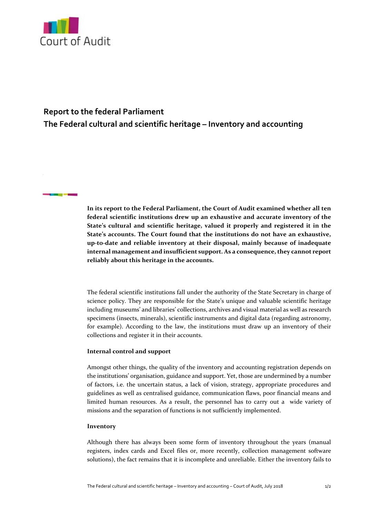

**STATISTICS** 

## **Report to the federal Parliament**

**The Federal cultural and scientific heritage – Inventory and accounting**

**In its report to the Federal Parliament, the Court of Audit examined whether all ten federal scientific institutions drew up an exhaustive and accurate inventory of the State's cultural and scientific heritage, valued it properly and registered it in the State's accounts. The Court found that the institutions do not have an exhaustive, up‐to‐date and reliable inventory at their disposal, mainly because of inadequate internal management and insufficient support. As a consequence,they cannot report reliably about this heritage in the accounts.**

The federal scientific institutions fall under the authority of the State Secretary in charge of science policy. They are responsible for the State's unique and valuable scientific heritage including museums' and libraries' collections, archives and visual material as well as research specimens (insects, minerals), scientific instruments and digital data (regarding astronomy, for example). According to the law, the institutions must draw up an inventory of their collections and register it in their accounts.

## **Internal control and support**

Amongst other things, the quality of the inventory and accounting registration depends on the institutions' organisation, guidance and support. Yet, those are undermined by a number of factors, i.e. the uncertain status, a lack of vision, strategy, appropriate procedures and guidelines as well as centralised guidance, communication flaws, poor financial means and limited human resources. As a result, the personnel has to carry out a wide variety of missions and the separation of functions is not sufficiently implemented.

## **Inventory**

Although there has always been some form of inventory throughout the years (manual registers, index cards and Excel files or, more recently, collection management software solutions), the fact remains that it is incomplete and unreliable. Either the inventory fails to